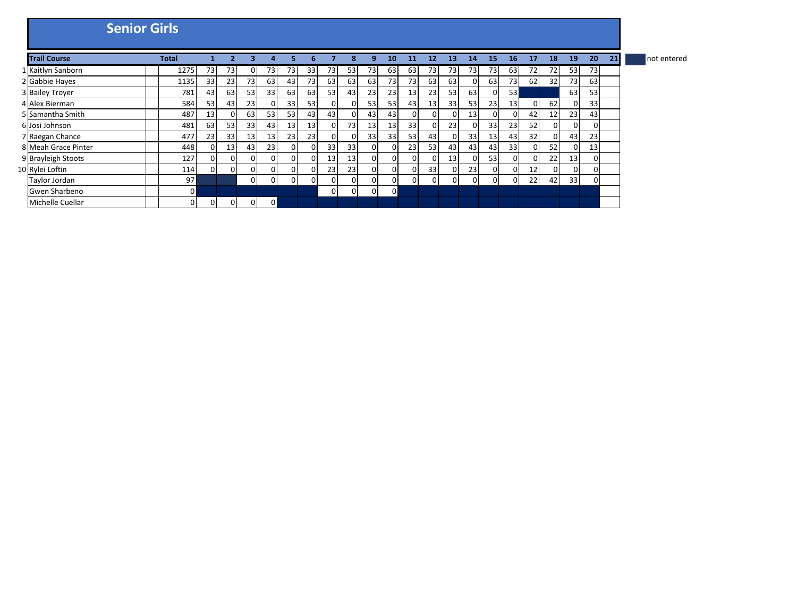|                     | <b>Senior Girls</b> |          |    |          |                 |          |    |              |          |          |          |          |                 |          |                 |                 |    |                |     |              |          |    |             |
|---------------------|---------------------|----------|----|----------|-----------------|----------|----|--------------|----------|----------|----------|----------|-----------------|----------|-----------------|-----------------|----|----------------|-----|--------------|----------|----|-------------|
| <b>Trail Course</b> | <b>Total</b>        |          |    |          |                 |          |    |              |          | q        | 10       | 11       | 12              | 13       | 14              | 15              | 16 | 17             | 18  | 19           | 20       | 21 | not entered |
| 1 Kaitlyn Sanborn   | 1275                | 73       | 73 | 0        | 73              | 73       | 33 | 73           | 53       | 73       | 63       | 63       | 73              | 73       | 73 <sub>l</sub> | 73              | 63 | 72             | 72I | 53           | 73       |    |             |
| 2 Gabbie Hayes      | 1135                | 33       | 23 | 73       | 63              | 43       | 73 | 63           | 63       | 63       | 73       | 73       | 63              | 63       |                 | 63              | 73 | 62             | 32  | 73           | 63       |    |             |
| 3 Bailey Troyer     | 781                 | 43       | 63 | 53       | 33              | 63       | 63 | 53           | 43       | 23       | 23       | 13       | 23              | 53       | 63              | $\Omega$        | 53 |                |     | 63           | 53       |    |             |
| 4 Alex Bierman      | 584                 | 53       | 43 | 23       |                 | 33       | 53 | $\Omega$     | 0        | 53       | 53       | 43       | 13              | 33       | 53              | 23              | 13 | $\overline{0}$ | 62  | $\mathbf{0}$ | 33       |    |             |
| 5 Samantha Smith    | 487                 | 13       |    | 63       | 53 <sub>1</sub> | 53       | 43 | 43           | 0        | 43       | 43       | 0        |                 | $\Omega$ | 13              | $\mathbf{0}$    | 01 | 42             | 12  | 23           | 43       |    |             |
| 6 Josi Johnson      | 481                 | 63       | 53 | 33       | 43              | 13       | 13 | $\Omega$     | 73       | 13       | 13       | 33       |                 | 23       |                 | 33              | 23 | 52             | 01  | $\mathbf{0}$ | 0        |    |             |
| 7 Raegan Chance     | 477                 | 23       | 33 | 13       | 13              | 23       | 23 | $\mathbf{0}$ | 0        | 33       | 33       | 53       | 43              | 0        | 33              | 13 <sup>1</sup> | 43 | 32             | οı  | 43           | 23       |    |             |
| 8 Meah Grace Pinter | 448                 |          | 13 | 43       | 23              | $\Omega$ |    | 33           | 33       | 0        | ΩI       | 23       | 53              | 43       | 43              | 43              | 33 | $\mathbf{0}$   | 52  | $\Omega$     | 13       |    |             |
| 9 Brayleigh Stoots  | 127                 |          |    | $\Omega$ |                 | 0        |    | 13           | 13       | $\Omega$ | 01       | $\Omega$ |                 | 13       |                 | 53              | 01 | $\Omega$       | 22  | 13           | $\Omega$ |    |             |
| 10 Rylei Loftin     | 114                 | $\Omega$ |    | $\Omega$ | $\Omega$        | $\Omega$ |    | 23           | 23       | $\Omega$ | 01       | $\Omega$ | 33 <sup>1</sup> | $\Omega$ | 23              | $\overline{0}$  | 0  | 12             | 01  | $\Omega$     | 0        |    |             |
| Taylor Jordan       | 97                  |          |    | $\Omega$ | $\Omega$        | 0        |    | $\Omega$     | $\Omega$ | 0        | $\Omega$ | $\Omega$ | $\Omega$        | $\Omega$ |                 | $\Omega$        | 0  | 22             | 42  | 33           | 0        |    |             |
| Gwen Sharbeno       | ΟI                  |          |    |          |                 |          |    | $\Omega$     | $\Omega$ | $\Omega$ | 0        |          |                 |          |                 |                 |    |                |     |              |          |    |             |
| Michelle Cuellar    |                     | 0        |    | 0        | $\mathbf{0}$    |          |    |              |          |          |          |          |                 |          |                 |                 |    |                |     |              |          |    |             |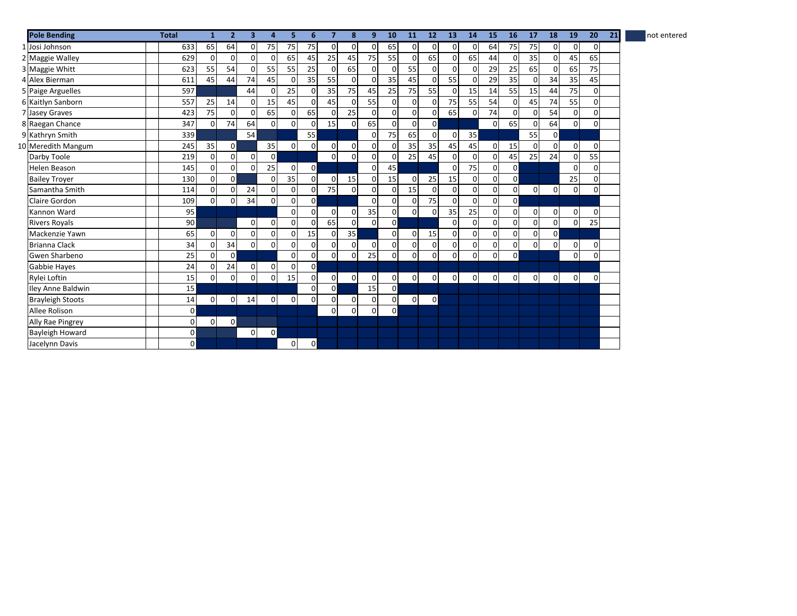| <b>Pole Bending</b>      | <b>Total</b> | $\mathbf{1}$ | $\overline{2}$ | $\overline{\mathbf{3}}$ | 4              | 5           | 6              | $\overline{7}$ | 8              | 9           | 10             | 11             | 12             | 13             | 14             | 15             | 16             | 17             | 18             | 19           | 20             | 21 | not entered |
|--------------------------|--------------|--------------|----------------|-------------------------|----------------|-------------|----------------|----------------|----------------|-------------|----------------|----------------|----------------|----------------|----------------|----------------|----------------|----------------|----------------|--------------|----------------|----|-------------|
| 1 Josi Johnson           | 633          | 65           | 64             | $\Omega$                | 75             | 75          | 75             | $\Omega$       | $\Omega$       | $\Omega$    | 65             | $\Omega$       | $\Omega$       | $\Omega$       | $\Omega$       | 64             | 75             | 75             | $\Omega$       | 0            | $\overline{0}$ |    |             |
| 2 Maggie Walley          | 629          | $\mathbf 0$  | $\Omega$       | $\Omega$                | $\Omega$       | 65          | 45             | 25             | 45             | 75          | 55             | $\Omega$       | 65             | $\mathbf 0$    | 65             | 44             | $\Omega$       | 35             | $\Omega$       | 45           | 65             |    |             |
| 3 Maggie Whitt           | 623          | 55           | 54             | $\Omega$                | 55             | 55          | 25             | $\Omega$       | 65             | 0           | $\Omega$       | 55             | $\Omega$       | $\mathbf 0$    | <sup>n</sup>   | 29             | 25             | 65             | $\Omega$       | 65           | 75             |    |             |
| 4 Alex Bierman           | 611          | 45           | 44             | 74                      | 45             | 0           | 35             | 55             | $\Omega$       | $\Omega$    | 35             | 45             | $\Omega$       | 55             |                | 29             | 35             | $\mathbf 0$    | 34             | 35           | 45             |    |             |
| 5 Paige Arguelles        | 597          |              |                | 44                      | $\mathbf 0$    | 25          | $\Omega$       | 35             | 75             | 45          | 25             | 75             | 55             | $\mathbf 0$    | 15             | 14             | 55             | 15             | 44             | 75           | $\mathbf{0}$   |    |             |
| 6 Kaitlyn Sanborn        | 557          | 25           | 14             | $\Omega$                | 15             | 45          |                | 45             | $\Omega$       | 55          | $\Omega$       | $\overline{0}$ | $\Omega$       | 75             | 55             | 54             | $\overline{0}$ | 45             | 74             | 55           | $\overline{0}$ |    |             |
| 7 Jasey Graves           | 423          | 75           | $\Omega$       | $\Omega$                | 65             | $\Omega$    | 65             | $\Omega$       | 25             | $\Omega$    | $\Omega$       | $\Omega$       | $\Omega$       | 65             | $\Omega$       | 74             | $\Omega$       | $\mathbf 0$    | 54             | $\mathbf{O}$ | $\Omega$       |    |             |
| 8 Raegan Chance          | 347          | 0            | 74             | 64                      | $\overline{0}$ | $\mathbf 0$ | <sup>n</sup>   | 15             | $\overline{0}$ | 65          | $\Omega$       | $\overline{0}$ | $\mathsf{O}$   |                |                | $\overline{0}$ | 65             | $\mathbf 0$    | 64             | $\mathbf{O}$ | $\mathbf{0}$   |    |             |
| 9 Kathryn Smith          | 339          |              |                | 54                      |                |             | 55             |                |                | $\Omega$    | <b>75</b>      | 65             | $\Omega$       | $\mathbf 0$    | 35             |                |                | 55             | $\mathbf{0}$   |              |                |    |             |
| 10 Meredith Mangum       | 245          | 35           | οI             |                         | 35             | $\mathbf 0$ | $\Omega$       | 0              | $\overline{0}$ | $\mathbf 0$ | $\Omega$       | 35             | 35             | 45             | 45             | $\overline{0}$ | 15             | $\mathbf 0$    | $\Omega$       | 0            | $\overline{0}$ |    |             |
| Darby Toole              | 219          | 0            | $\Omega$       | $\Omega$                | $\mathbf{0}$   |             |                | $\mathbf 0$    | $\Omega$       | $\Omega$    | $\Omega$       | 25             | 45             | $\Omega$       | $\Omega$       | $\overline{0}$ | 45             | 25             | 24             | $\mathbf 0$  | 55             |    |             |
| <b>Helen Beason</b>      | 145          | 0            | 0              | $\Omega$                | 25             | $\mathbf 0$ | $\mathsf{o}$   |                |                | $\Omega$    | 45             |                |                | $\Omega$       | 75             | $\overline{0}$ | $\mathbf{0}$   |                |                | 0            | $\mathbf 0$    |    |             |
| <b>Bailey Trover</b>     | 130          | $\Omega$     | $\Omega$       |                         | $\Omega$       | 35          | $\Omega$       | $\Omega$       | 15             | $\Omega$    | 15             | $\Omega$       | 25             | 15             | $\Omega$       | $\overline{0}$ | $\overline{0}$ |                |                | 25           | $\overline{0}$ |    |             |
| Samantha Smith           | 114          | $\Omega$     |                | 24                      | $\Omega$       | $\Omega$    | $\Omega$       | 75             | $\Omega$       | $\Omega$    | $\Omega$       | 15             | $\Omega$       | $\Omega$       | $\Omega$       | $\overline{0}$ | $\overline{0}$ | $\overline{0}$ | $\overline{0}$ | $\mathbf 0$  | $\Omega$       |    |             |
| Claire Gordon            | 109          | 0            | 0              | 34                      | $\mathbf 0$    | $\mathbf 0$ | $\mathbf{0}$   |                |                | $\Omega$    | $\Omega$       | $\overline{0}$ | 75             | $\mathbf 0$    | $\Omega$       | $\overline{0}$ | $\mathbf{0}$   |                |                |              |                |    |             |
| Kannon Ward              | 95           |              |                |                         |                | $\Omega$    | $\Omega$       | $\mathbf 0$    | $\overline{0}$ | 35          | $\Omega$       | $\mathbf 0$    | $\Omega$       | 35             | 25             | $\overline{0}$ | $\overline{0}$ | $\overline{0}$ | $\mathbf{0}$   | 0            | $\mathbf{0}$   |    |             |
| <b>Rivers Royals</b>     | 90           |              |                | $\mathbf 0$             | $\mathbf 0$    | $\mathbf 0$ |                | 65             | $\mathbf{0}$   | $\Omega$    | $\overline{0}$ |                |                | $\Omega$       |                | $\overline{0}$ | $\mathbf{0}$   | $\mathbf 0$    | $\mathbf{0}$   | 0            | 25             |    |             |
| Mackenzie Yawn           | 65           | $\Omega$     | $\Omega$       | $\Omega$                | $\Omega$       | $\mathbf 0$ | 15             | $\Omega$       | 35             |             | $\Omega$       | $\overline{0}$ | 15             | $\overline{0}$ | $\Omega$       | $\overline{0}$ | $\Omega$       | 0              | $\overline{0}$ |              |                |    |             |
| <b>Brianna Clack</b>     | 34           | 0            | 34             | $\mathbf{0}$            | $\Omega$       | $\mathbf 0$ | $\Omega$       | $\overline{0}$ | $\overline{0}$ | $\mathbf 0$ | $\Omega$       | $\overline{0}$ | $\overline{0}$ | $\mathbf{0}$   | $\Omega$       | $\overline{0}$ | $\mathbf{0}$   | $\mathbf 0$    | $\Omega$       | $\mathbf 0$  | $\overline{0}$ |    |             |
| Gwen Sharbeno            | 25           | 0            | $\Omega$       |                         |                | $\mathbf 0$ | $\Omega$       | 0              | $\overline{0}$ | 25          | $\Omega$       | $\overline{0}$ | $\Omega$       | $\Omega$       | $\Omega$       | $\mathbf{0}$   | $\Omega$       |                |                | 0            | $\overline{0}$ |    |             |
| Gabbie Hayes             | 24           | 0            | 24             | $\Omega$                | $\mathbf{0}$   | $\mathbf 0$ | $\mathsf{o}$   |                |                |             |                |                |                |                |                |                |                |                |                |              |                |    |             |
| Rylei Loftin             | 15           | 0            | $\Omega$       | 0                       | 0              | 15          | $\Omega$       | $\overline{0}$ | $\overline{0}$ | $\mathbf 0$ | $\overline{0}$ | $\overline{0}$ | $\overline{0}$ | $\overline{0}$ | $\overline{0}$ | $\overline{0}$ | $\mathbf{0}$   | $\overline{0}$ | $\overline{0}$ | $\mathbf 0$  | $\overline{0}$ |    |             |
| <b>Iley Anne Baldwin</b> | 15           |              |                |                         |                |             | $\Omega$       | $\circ$        |                | 15          | $\overline{0}$ |                |                |                |                |                |                |                |                |              |                |    |             |
| <b>Brayleigh Stoots</b>  | 14           | $\Omega$     | 0              | 14                      | $\overline{0}$ | $\mathbf 0$ | $\Omega$       | $\Omega$       | $\overline{0}$ | $\Omega$    | $\Omega$       | $\mathbf{0}$   | $\mathbf{0}$   |                |                |                |                |                |                |              |                |    |             |
| Allee Rolison            | $\Omega$     |              |                |                         |                |             |                | $\Omega$       | $\Omega$       | $\Omega$    | $\overline{0}$ |                |                |                |                |                |                |                |                |              |                |    |             |
| Ally Rae Pingrey         | $\Omega$     | 0            | οI             |                         |                |             |                |                |                |             |                |                |                |                |                |                |                |                |                |              |                |    |             |
| <b>Bayleigh Howard</b>   | $\mathsf{o}$ |              |                | $\Omega$                | $\circ$        |             |                |                |                |             |                |                |                |                |                |                |                |                |                |              |                |    |             |
| Jacelynn Davis           | οl           |              |                |                         |                | 0           | $\overline{0}$ |                |                |             |                |                |                |                |                |                |                |                |                |              |                |    |             |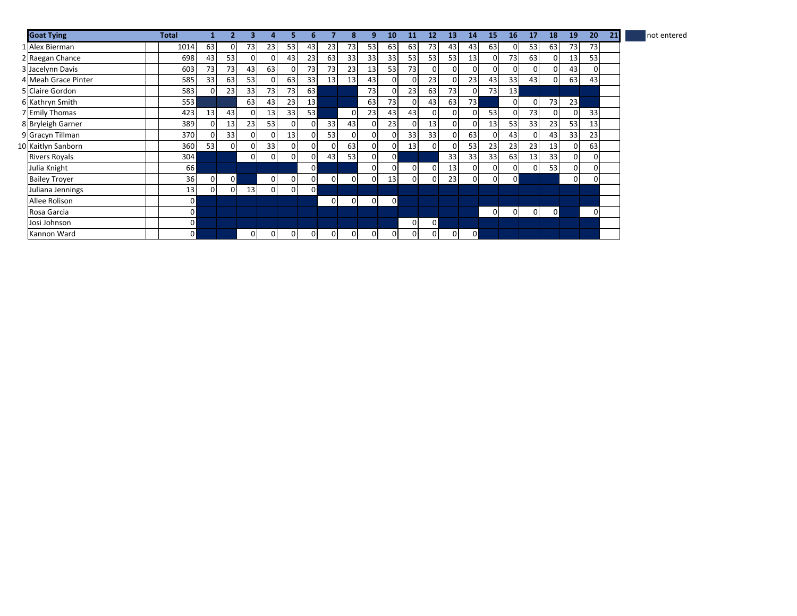| <b>Goat Tying</b>    | Total           |                |    |                |                |                |                 |              |                | q        | 10              | 11       | 12       | 13           | 14              | 15             | 16             | 17             | 18 | 19           | 20 | 21 | not entered |
|----------------------|-----------------|----------------|----|----------------|----------------|----------------|-----------------|--------------|----------------|----------|-----------------|----------|----------|--------------|-----------------|----------------|----------------|----------------|----|--------------|----|----|-------------|
| 1 Alex Bierman       | 1014            | 63             |    | 73             | 23             | 53             | 43              | 23           | 73             | 53       | 63              | 63       | 73       | 43           | 43              | 63             | 0              | 53             | 63 | 73           | 73 |    |             |
| 2 Raegan Chance      | 698             | 43             | 53 | $\overline{0}$ |                | 43             | 23              | 63           | 33             | 33       | 33 <sub>1</sub> | 53       | 53       | 53           | 13              | $\overline{0}$ | 73             | 63             | 0  | 13           | 53 |    |             |
| 3 Jacelynn Davis     | 603             | 73             | 73 | 43             | 63             | 0              | 73              | 73           | 23             | 13       | 53              | 73       |          | $\Omega$     |                 | $\Omega$       | 01             | 0              | 01 | 43           | 0  |    |             |
| 4 Meah Grace Pinter  | 585             | 33             | 63 | 53             |                | 63             | 33              | 13           | 13             | 43       | $\Omega$        | $\Omega$ | 23       | $\Omega$     | 23              | 43             | 33             | 43             | 01 | 63           | 43 |    |             |
| 5 Claire Gordon      | 583             | $\Omega$       | 23 | 33             | 73             | 73             | 63              |              |                | 73       |                 | 23       | 63       | 73           |                 | 73             | 13             |                |    |              |    |    |             |
| 6 Kathryn Smith      | 553             |                |    | 63             | 43             | 23             | 13 <sup>1</sup> |              |                | 63       | 73              | $\Omega$ | 43       | 63           | 73 <sub>l</sub> |                | $\Omega$       | 0              | 73 | 23           |    |    |             |
| 7 Emily Thomas       | 423             | 13             | 43 | $\Omega$       | 13             | 33             | 53              |              | $\mathbf{0}$   | 23       | 43              | 43       | 0        | $\mathbf{0}$ |                 | 53             | $\overline{0}$ | 73             | 0  | $\mathbf{0}$ | 33 |    |             |
| 8 Bryleigh Garner    | 389             | 0              | 13 | 23             | 53             | 0              |                 | 33           | 43             | 0        | 23              | $\Omega$ | 13       | $\mathbf{0}$ |                 | 13             | 53             | 33             | 23 | 53           | 13 |    |             |
| 9 Gracyn Tillman     | 370             | ŋ              | 33 | $\Omega$       |                | 13             |                 | 53           | $\Omega$       | $\Omega$ |                 | 33       | 33       | $\Omega$     | 63              | $\overline{0}$ | 43             | 0              | 43 | 33           | 23 |    |             |
| 10 Kaitlyn Sanborn   | 360             | 53             |    | $\Omega$       | 33             | 0              |                 | $\Omega$     | 63             | 0        | ΩI              | 13       |          | $\Omega$     | 53              | 23             | 23             | 23             | 13 | $\mathbf{0}$ | 63 |    |             |
| <b>Rivers Royals</b> | 304             |                |    | $\Omega$       | $\Omega$       | 0              |                 | 43           | 53             | 0        | 01              |          |          | 33           | 33              | 33             | 63             | 13             | 33 | $\mathbf{0}$ | 0  |    |             |
| Julia Knight         | 66 <sup>1</sup> |                |    |                |                |                | 0               |              |                | 0        | 0               | $\Omega$ |          | 13           |                 | $\overline{0}$ | 0              | $\Omega$       | 53 | $\mathbf{0}$ | 0  |    |             |
| <b>Bailey Troyer</b> | 36              | $\overline{0}$ | ٥I |                | $\overline{0}$ | 0              |                 | $\mathbf{0}$ | $\overline{0}$ | 0        | 13              | 0        | $\Omega$ | 23           |                 | $\overline{0}$ | 0              |                |    | $\mathbf{0}$ | 0  |    |             |
| Juliana Jennings     | 13              | $\Omega$       |    | 13             | $\Omega$       | $\overline{0}$ | ΟI              |              |                |          |                 |          |          |              |                 |                |                |                |    |              |    |    |             |
| Allee Rolison        | ΟI              |                |    |                |                |                |                 | 0            | $\overline{0}$ | $\Omega$ | $\overline{0}$  |          |          |              |                 |                |                |                |    |              |    |    |             |
| Rosa Garcia          | οI              |                |    |                |                |                |                 |              |                |          |                 |          |          |              |                 | $\Omega$       | 0              | $\overline{0}$ | 0  |              | 0  |    |             |
| Josi Johnson         | 0               |                |    |                |                |                |                 |              |                |          |                 | $\Omega$ | οI       |              |                 |                |                |                |    |              |    |    |             |
| Kannon Ward          | 0               |                |    | $\Omega$       |                | 0              |                 | 0            | $\Omega$       | 0        | 01              | $\Omega$ |          | $\mathbf{0}$ | ٥I              |                |                |                |    |              |    |    |             |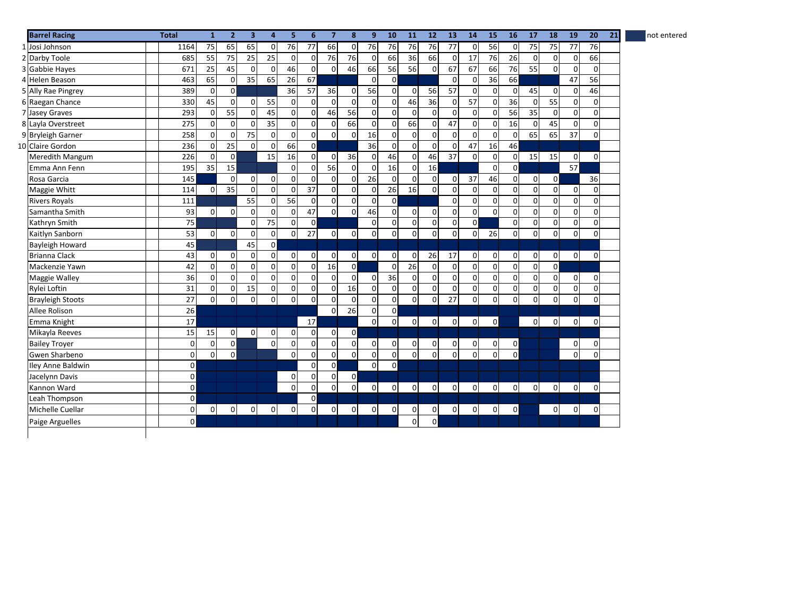| <b>Barrel Racing</b>    | <b>Total</b>   | $\mathbf{1}$ | 2 <sup>1</sup> | 3            | 4               | 5           | 6              | $\overline{7}$      | 8                   | 9               | 10             | 11                  | 12             | 13              | 14             | 15             | 16             | 17          | 18             | 19                  | 20             | 21 | not entered |
|-------------------------|----------------|--------------|----------------|--------------|-----------------|-------------|----------------|---------------------|---------------------|-----------------|----------------|---------------------|----------------|-----------------|----------------|----------------|----------------|-------------|----------------|---------------------|----------------|----|-------------|
| 1 Josi Johnson          | 1164           | 75           | 65             | 65           | $\mathbf 0$     | 76          | 77             | 66                  | $\mathbf 0$         | 76              | 76             | 76                  | 76             | 77              | $\Omega$       | 56             | $\overline{0}$ | 75          | 75             | 77                  | 76             |    |             |
| 2 Darby Toole           | 685            | 55           | 75             | 25           | 25              | $\mathbf 0$ | $\Omega$       | 76                  | 76                  | $\mathbf 0$     | 66             | 36                  | 66             | 0               | 17             | 76             | 26             | 0           | $\overline{0}$ | 0                   | 66             |    |             |
| 3 Gabbie Hayes          | 671            | 25           | 45             | $\mathbf 0$  | $\mathbf 0$     | 46          | $\Omega$       | $\mathsf{O}\xspace$ | 46                  | 66              | 56             | 56                  | $\Omega$       | 67              | 67             | 66             | 76             | 55          | $\Omega$       | $\pmb{0}$           | $\mathbf{0}$   |    |             |
| 4 Helen Beason          | 463            | 65           | 0              | 35           | 65              | 26          | 67             |                     |                     | $\Omega$        | $\Omega$       |                     |                | $\Omega$        | 0              | 36             | 66             |             |                | 47                  | 56             |    |             |
| 5 Ally Rae Pingrey      | 389            | $\mathbf 0$  | οI             |              |                 | 36          | 57             | 36                  | $\mathbf 0$         | 56              | $\overline{0}$ | $\overline{0}$      | 56             | 57              | $\Omega$       | $\overline{0}$ | $\overline{0}$ | 45          | $\mathbf{0}$   | $\mathsf{O}\xspace$ | 46             |    |             |
| 6 Raegan Chance         | 330            | 45           | $\Omega$       | $\mathbf 0$  | 55              | $\mathbf 0$ | $\Omega$       | 0                   | $\mathbf 0$         | $\mathbf 0$     | $\Omega$       | 46                  | 36             | $\mathbf 0$     | 57             | $\overline{0}$ | 36             | $\mathbf 0$ | 55             | $\pmb{0}$           | $\mathbf{0}$   |    |             |
| 7 Jasey Graves          | 293            | $\mathbf 0$  | 55             | $\mathbf{0}$ | 45              | $\mathbf 0$ | $\Omega$       | 46                  | 56                  | $\mathbf 0$     | $\Omega$       | $\mathbf 0$         | $\Omega$       | $\mathbf 0$     | $\Omega$       | $\overline{0}$ | 56             | 35          | $\mathbf{0}$   | $\pmb{0}$           | $\mathbf{0}$   |    |             |
| 8 Layla Overstreet      | 275            | $\mathbf 0$  | $\Omega$       | $\Omega$     | 35              | $\mathbf 0$ | $\Omega$       | $\mathbf 0$         | 66                  | $\mathsf 0$     | $\Omega$       | 66                  | $\mathbf 0$    | 47              | $\Omega$       | $\mathbf{0}$   | 16             | $\mathbf 0$ | 45             | $\mathsf{O}\xspace$ | $\mathbf{0}$   |    |             |
| 9 Bryleigh Garner       | 258            | $\mathbf 0$  | $\Omega$       | 75           | $\mathbf 0$     | $\mathbf 0$ | $\overline{0}$ | $\mathsf{O}\xspace$ | $\mathbf 0$         | 16              | $\overline{0}$ | $\mathbf 0$         | $\mathbf 0$    | $\mathbf 0$     | $\overline{0}$ | $\Omega$       | $\overline{0}$ | 65          | 65             | 37                  | $\mathbf{0}$   |    |             |
| 10 Claire Gordon        | 236            | $\mathbf 0$  | 25             | $\mathbf{0}$ | 0               | 66          | $\mathsf{o}$   |                     |                     | 36              | $\overline{0}$ | $\overline{0}$      | $\mathbf 0$    | $\mathbf 0$     | 47             | 16             | 46             |             |                |                     |                |    |             |
| Meredith Mangum         | 226            | $\mathbf 0$  | $\overline{0}$ |              | $\overline{15}$ | 16          | $\Omega$       | $\pmb{0}$           | 36                  | $\mathbf 0$     | 46             | $\mathbf 0$         | 46             | 37              | $\Omega$       | $\overline{0}$ | $\mathbf 0$    | 15          | 15             | $\mathsf{O}\xspace$ | $\mathbf{0}$   |    |             |
| Emma Ann Fenn           | 195            | 35           | 15             |              |                 | $\Omega$    | $\Omega$       | 56                  | $\mathbf 0$         | $\mathbf 0$     | 16             | $\mathbf 0$         | 16             |                 |                | $\overline{0}$ | $\overline{0}$ |             |                | 57                  |                |    |             |
| Rosa Garcia             | 145            |              | $\Omega$       | $\mathbf{0}$ | $\mathbf 0$     | $\mathbf 0$ | $\Omega$       | $\mathsf{O}\xspace$ | $\mathbf 0$         | $\overline{26}$ | $\Omega$       | $\mathbf 0$         | $\Omega$       | $\mathbf{0}$    | 37             | 46             | $\overline{0}$ | 0           | $\mathbf{0}$   |                     | 36             |    |             |
| Maggie Whitt            | 114            | $\mathbf 0$  | 35             | $\mathbf{0}$ | $\mathbf 0$     | $\mathbf 0$ | 37             | $\mathsf{O}\xspace$ | $\mathbf 0$         | $\mathbf 0$     | 26             | 16                  | $\mathbf 0$    | $\mathbf 0$     | $\mathbf 0$    | $\overline{0}$ | $\overline{0}$ | 0           | $\overline{0}$ | 0                   | $\mathbf{0}$   |    |             |
| <b>Rivers Royals</b>    | 111            |              |                | 55           | $\mathbf 0$     | 56          | $\mathbf 0$    | $\mathsf{O}\xspace$ | $\mathbf 0$         | $\mathbf 0$     | $\overline{0}$ |                     |                | $\mathbf 0$     | $\Omega$       | $\overline{0}$ | $\pmb{0}$      | $\mathbf 0$ | $\mathbf{0}$   | $\pmb{0}$           | $\mathbf{0}$   |    |             |
| Samantha Smith          | 93             | $\mathbf 0$  | $\Omega$       | $\mathbf 0$  | $\mathbf 0$     | $\mathbf 0$ | 47             | $\overline{0}$      | $\mathbf 0$         | 46              | $\overline{0}$ | $\mathbf 0$         | $\mathbf 0$    | $\mathbf 0$     | $\overline{0}$ | $\Omega$       | $\mathbf 0$    | 0           | $\mathbf{0}$   | $\pmb{0}$           | $\mathbf{0}$   |    |             |
| Kathryn Smith           | 75             |              |                | $\mathbf 0$  | 75              | $\mathbf 0$ | $\mathbf{0}$   |                     |                     | $\Omega$        | $\Omega$       | $\pmb{0}$           | $\mathbf 0$    | $\mathbf 0$     | $\mathsf{o}$   |                | $\mathbf 0$    | $\mathbf 0$ | $\mathbf{0}$   | $\pmb{0}$           | $\mathbf{0}$   |    |             |
| Kaitlyn Sanborn         | 53             | $\mathbf 0$  | $\Omega$       | $\mathbf 0$  | $\mathbf 0$     | $\mathbf 0$ | 27             | $\overline{0}$      | $\mathbf 0$         | $\Omega$        | $\Omega$       | $\mathbf 0$         | $\Omega$       | $\mathbf 0$     | $\Omega$       | 26             | $\mathbf 0$    | $\mathbf 0$ | $\overline{0}$ | $\mathbf 0$         | $\Omega$       |    |             |
| Bayleigh Howard         | 45             |              |                | 45           | $\circ$         |             |                |                     |                     |                 |                |                     |                |                 |                |                |                |             |                |                     |                |    |             |
| <b>Brianna Clack</b>    | 43             | $\mathbf 0$  | $\Omega$       | $\mathbf 0$  | $\mathbf 0$     | $\mathbf 0$ | $\Omega$       | $\pmb{0}$           | $\mathbf{0}$        | $\mathbf 0$     | $\overline{0}$ | $\mathbf 0$         | 26             | 17              | $\mathbf 0$    | $\overline{0}$ | $\mathbf 0$    | 0           | $\mathbf 0$    | $\pmb{0}$           | $\mathbf{0}$   |    |             |
| Mackenzie Yawn          | 42             | $\mathbf 0$  | $\Omega$       | $\mathbf 0$  | $\pmb{0}$       | $\mathbf 0$ | $\Omega$       | 16                  | $\overline{0}$      |                 | $\Omega$       | 26                  | $\mathbf 0$    | $\mathbf 0$     | $\Omega$       | $\overline{0}$ | $\mathbf 0$    | $\mathbf 0$ | $\mathbf{0}$   |                     |                |    |             |
| Maggie Walley           | 36             | $\mathbf 0$  | $\Omega$       | $\mathbf 0$  | $\mathbf 0$     | $\mathbf 0$ | $\Omega$       | $\mathbf 0$         | $\mathbf 0$         | $\mathbf 0$     | 36             | $\mathsf{O}\xspace$ | $\mathbf 0$    | $\mathbf 0$     | $\Omega$       | $\overline{0}$ | $\mathbf 0$    | 0           | $\overline{0}$ | $\mathbf 0$         | $\overline{0}$ |    |             |
| Rylei Loftin            | 31             | $\mathbf 0$  | $\Omega$       | 15           | 0               | $\mathbf 0$ | $\Omega$       | $\pmb{0}$           | 16                  | $\mathbf 0$     | $\Omega$       | $\mathsf{O}\xspace$ | $\Omega$       | $\mathbf 0$     | $\Omega$       | $\overline{0}$ | $\mathbf 0$    | $\mathbf 0$ | $\Omega$       | $\pmb{0}$           | $\mathbf{0}$   |    |             |
| <b>Brayleigh Stoots</b> | 27             | $\mathbf 0$  | $\Omega$       | $\pmb{0}$    | 0               | $\mathbf 0$ | $\Omega$       | $\mathsf{O}\xspace$ | $\mathsf{O}\xspace$ | 0               | $\overline{0}$ | $\mathsf{o}$        | $\mathbf 0$    | $\overline{27}$ | $\overline{0}$ | $\overline{0}$ | $\mathbf 0$    | $\mathbf 0$ | $\mathbf{0}$   | $\overline{0}$      | $\Omega$       |    |             |
| Allee Rolison           | 26             |              |                |              |                 |             |                | $\pmb{0}$           | 26                  | 0               | $\overline{0}$ |                     |                |                 |                |                |                |             |                |                     |                |    |             |
| Emma Knight             | 17             |              |                |              |                 |             | 17             |                     |                     | $\Omega$        | $\Omega$       | $\mathbf 0$         | $\Omega$       | $\mathbf 0$     | $\Omega$       | $\mathbf{0}$   |                | $\mathbf 0$ | $\overline{0}$ | 0                   | $\Omega$       |    |             |
| Mikayla Reeves          | 15             | 15           | $\Omega$       | $\mathbf{0}$ | 0               | $\mathbf 0$ | $\Omega$       | $\mathbf 0$         | $\overline{0}$      |                 |                |                     |                |                 |                |                |                |             |                |                     |                |    |             |
| <b>Bailey Troyer</b>    | $\mathbf 0$    | $\mathbf 0$  | $\overline{0}$ |              | $\Omega$        | $\mathbf 0$ | $\Omega$       | $\pmb{0}$           | $\mathbf 0$         | $\mathbf 0$     | $\overline{0}$ | $\mathbf 0$         | $\overline{0}$ | $\mathbf{0}$    | $\Omega$       | $\overline{0}$ | $\overline{0}$ |             |                | 0                   | $\overline{0}$ |    |             |
| Gwen Sharbeno           | $\mathbf 0$    | $\mathbf 0$  | οI             |              |                 | $\mathbf 0$ | $\Omega$       | $\overline{0}$      | $\mathbf 0$         | $\mathbf 0$     | $\overline{0}$ | $\mathsf{o}$        | $\mathbf 0$    | $\mathbf 0$     | $\mathbf 0$    | $\overline{0}$ | $\overline{0}$ |             |                | $\overline{0}$      | $\overline{0}$ |    |             |
| Iley Anne Baldwin       | $\overline{0}$ |              |                |              |                 |             | $\Omega$       | $\overline{0}$      |                     | $\mathbf 0$     | $\overline{0}$ |                     |                |                 |                |                |                |             |                |                     |                |    |             |
| Jacelynn Davis          | $\overline{0}$ |              |                |              |                 | $\mathbf 0$ | $\Omega$       | $\pmb{0}$           | $\overline{0}$      |                 |                |                     |                |                 |                |                |                |             |                |                     |                |    |             |
| Kannon Ward             | $\overline{0}$ |              |                |              |                 | $\Omega$    | $\Omega$       | $\mathsf{O}\xspace$ | $\mathbf 0$         | 0               | $\Omega$       | $\mathbf 0$         | $\Omega$       | $\mathbf{0}$    | $\Omega$       | $\overline{0}$ | $\mathbf{0}$   | 0           | $\Omega$       | $\mathbf 0$         | $\Omega$       |    |             |
| <b>Leah Thompson</b>    | $\mathsf{o}$   |              |                |              |                 |             | $\Omega$       |                     |                     |                 |                |                     |                |                 |                |                |                |             |                |                     |                |    |             |
| Michelle Cuellar        | $\pmb{0}$      | $\mathbf 0$  | $\overline{0}$ | $\mathbf 0$  | $\overline{0}$  | $\mathbf 0$ | $\overline{0}$ | $\mathbf 0$         | $\mathbf 0$         | 0               | $\Omega$       | $\pmb{0}$           | $\mathbf 0$    | $\mathbf{0}$    | $\overline{0}$ | $\overline{0}$ | $\overline{0}$ |             | $\overline{0}$ | $\mathsf{O}\xspace$ | $\mathbf{0}$   |    |             |
| Paige Arguelles         | $\mathsf{O}$   |              |                |              |                 |             |                |                     |                     |                 |                | $\mathsf{O}\xspace$ | $\overline{0}$ |                 |                |                |                |             |                |                     |                |    |             |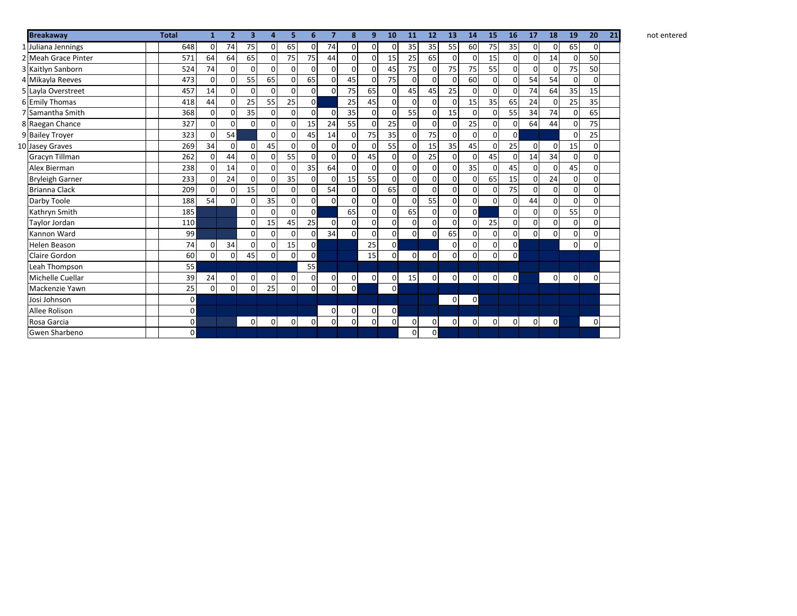| <b>Breakaway</b>       | <b>Total</b> | 1              | $\overline{2}$ | 3           | $\overline{a}$ | 5.             | 6              | 7           | 8           | 9           | 10           | 11          | 12             | 13             | 14           | 15          | 16          | 17          | 18           | 19          | 20             | 21 |
|------------------------|--------------|----------------|----------------|-------------|----------------|----------------|----------------|-------------|-------------|-------------|--------------|-------------|----------------|----------------|--------------|-------------|-------------|-------------|--------------|-------------|----------------|----|
| 1 Juliana Jennings     | 648          | $\Omega$       | 74             | 75          | $\mathbf{0}$   | 65             | $\mathbf 0$    | 74          | 0           | 0           | 0            | 35          | 35             | 55             | 60           | 75          | 35          | 0           | 0            | 65          | $\Omega$       |    |
| 2 Meah Grace Pinter    | 571          | 64             | 64             | 65          | $\mathbf{0}$   | 75             | 75             | 44          | 0           | 0           | 15           | 25          | 65             | $\mathbf 0$    | 0            | 15          | $\Omega$    | $\mathbf 0$ | 14           | $\mathbf 0$ | 50             |    |
| 3 Kaitlyn Sanborn      | 524          | 74             | $\Omega$       | $\Omega$    | $\Omega$       | $\overline{0}$ | $\mathbf 0$    | $\Omega$    | $\mathbf 0$ | $\mathbf 0$ | 45           | 75          | $\mathbf{0}$   | 75             | 75           | 55          | 0           | 0           | 0            | 75          | 50             |    |
| 4 Mikayla Reeves       | 473          | 0              | 0              | 55          | 65             | $\mathbf 0$    | 65             | $\Omega$    | 45          | 0           | 75           | $\Omega$    | $\mathbf 0$    | 0              | 60           | 0           | $\Omega$    | 54          | 54           | $\mathbf 0$ | $\Omega$       |    |
| 5 Layla Overstreet     | 457          | 14             | 0              | 0           | $\mathbf{0}$   | $\overline{0}$ | $\overline{0}$ | $\Omega$    | 75          | 65          | 0            | 45          | 45             | 25             | 0            | $\mathbf 0$ | 0           | 74          | 64           | 35          | 15             |    |
| 6 Emily Thomas         | 418          | 44             | $\mathbf 0$    | 25          | 55             | 25             | $\overline{0}$ |             | 25          | 45          | 0            | $\Omega$    | $\mathbf 0$    | 0              | 15           | 35          | 65          | 24          | 0            | 25          | 35             |    |
| 7 Samantha Smith       | 368          | $\Omega$       | $\Omega$       | 35          | $\mathbf{0}$   | $\Omega$       | $\mathbf 0$    | $\Omega$    | 35          | $\Omega$    | $\Omega$     | 55          | $\overline{0}$ | 15             | 0            | $\mathbf 0$ | 55          | 34          | 74           | $\mathbf 0$ | 65             |    |
| 8 Raegan Chance        | 327          | $\Omega$       | $\Omega$       | $\Omega$    | $\mathbf 0$    | $\Omega$       | 15             | 24          | 55          | 0           | 25           | 0           | $\mathbf 0$    | $\mathbf 0$    | 25           | $\mathbf 0$ | $\Omega$    | 64          | 44           | $\Omega$    | 75             |    |
| 9 Bailey Troyer        | 323          | $\Omega$       | 54             |             | $\mathbf 0$    | $\overline{0}$ | 45             | 14          | $\mathbf 0$ | 75          | 35           | 0           | 75             | $\overline{0}$ | 0            | 0           | 0           |             |              | $\mathbf 0$ | 25             |    |
| 10 Jasey Graves        | 269          | 34             | $\Omega$       | $\Omega$    | 45             | $\overline{0}$ | $\mathbf 0$    | $\mathbf 0$ | $\mathbf 0$ | 0           | 55           | $\mathbf 0$ | 15             | 35             | 45           | $\mathbf 0$ | 25          | 0           | $\Omega$     | 15          | $\Omega$       |    |
| <b>Gracyn Tillman</b>  | 262          | $\Omega$       | 44             | $\Omega$    | 0              | 55             | $\mathbf 0$    | $\mathbf 0$ | $\mathbf 0$ | 45          | $\mathbf 0$  | $\Omega$    | 25             | $\mathbf 0$    | 0            | 45          | $\Omega$    | 14          | 34           | $\mathbf 0$ | $\Omega$       |    |
| Alex Bierman           | 238          | O              | 14             | $\Omega$    | $\Omega$       | $\Omega$       | 35             | 64          | $\Omega$    | $\mathbf 0$ | 0            | $\Omega$    | $\Omega$       | $\Omega$       | 35           | $\mathbf 0$ | 45          | $\Omega$    | 0            | 45          | ٥I             |    |
| <b>Bryleigh Garner</b> | 233          | 0              | 24             | $\Omega$    | $\Omega$       | 35             | $\overline{0}$ | $\Omega$    | 15          | 55          | $\Omega$     | $\Omega$    | $\Omega$       | $\Omega$       | 0            | 65          | 15          | $\Omega$    | 24           | 0           | $\overline{0}$ |    |
| <b>Brianna Clack</b>   | 209          | $\Omega$       | $\Omega$       | 15          | $\Omega$       | $\overline{0}$ | $\mathbf 0$    | 54          | $\mathbf 0$ | $\mathbf 0$ | 65           | $\Omega$    | $\mathbf 0$    | $\mathbf 0$    | 0            | $\mathbf 0$ | 75          | $\Omega$    | οl           | 0           | $\Omega$       |    |
| Darby Toole            | 188          | 54             | $\Omega$       |             | 35             | $\Omega$       | $\overline{0}$ | $\Omega$    | $\mathbf 0$ | $\Omega$    | $\Omega$     | $\Omega$    | 55             | $\mathbf 0$    | 0            | $\Omega$    | $\Omega$    | 44          | $\Omega$     | $\Omega$    | $\Omega$       |    |
| Kathryn Smith          | 185          |                |                | 0           | $\Omega$       | $\Omega$       | $\circ$        |             | 65          | $\mathbf 0$ | 0            | 65          | $\mathbf 0$    | $\overline{0}$ | $\mathsf{o}$ |             | $\Omega$    | 0           | $\Omega$     | 55          | $\Omega$       |    |
| Taylor Jordan          | 110          |                |                | 0           | 15             | 45             | 25             | $\Omega$    | $\mathbf 0$ | $\mathbf 0$ | 0            | $\Omega$    | $\Omega$       | $\overline{0}$ | 0            | 25          | $\Omega$    | 0           | $\Omega$     | 0           | $\Omega$       |    |
| Kannon Ward            | 99           |                |                | $\Omega$    | $\Omega$       | $\Omega$       | $\overline{0}$ | 34          | $\Omega$    | $\Omega$    | 0            | 0           | $\Omega$       | 65             | $\Omega$     | 0           | 0           | $\Omega$    | 0            | 0           | $\Omega$       |    |
| <b>Helen Beason</b>    | 74           | $\Omega$       | 34             | $\Omega$    | $\Omega$       | 15             | $\mathbf{0}$   |             |             | 25          | $\mathbf 0$  |             |                | $\Omega$       | $\mathbf 0$  | 0           | $\mathbf 0$ |             |              | $\Omega$    | $\Omega$       |    |
| Claire Gordon          | 60           | $\Omega$       | 0              | 45          | $\Omega$       | $\Omega$       | $\overline{0}$ |             |             | 15          | $\mathbf{0}$ | 0           | $\mathbf{0}$   | $\Omega$       | 0            | 0           | 0           |             |              |             |                |    |
| Leah Thompson          | 55           |                |                |             |                |                | 55             |             |             |             |              |             |                |                |              |             |             |             |              |             |                |    |
| Michelle Cuellar       | 39           | 24             | 0              | 0           | 0              | $\mathbf{0}$   | $\mathbf 0$    | $\mathbf 0$ | 0           | 0           | 0            | 15          | $\overline{0}$ | $\overline{0}$ | 0            | 0           | $\Omega$    |             | 0            | 0           | $\overline{0}$ |    |
| Mackenzie Yawn         | 25           | $\Omega$       | 0              | 0           | 25             | $\Omega$       | $\mathbf{0}$   | $\mathbf 0$ | $\mathbf 0$ |             | $\mathbf 0$  |             |                |                |              |             |             |             |              |             |                |    |
| Josi Johnson           |              | $\overline{0}$ |                |             |                |                |                |             |             |             |              |             |                | $\overline{0}$ | $\mathbf 0$  |             |             |             |              |             |                |    |
| Allee Rolison          |              | $\mathsf{o}$   |                |             |                |                |                | 0           | 0           | 0           | $\mathbf{0}$ |             |                |                |              |             |             |             |              |             |                |    |
| Rosa Garcia            |              | $\pmb{0}$      |                | $\mathbf 0$ | $\mathbf{0}$   | $\overline{0}$ | $\mathbf 0$    | 0           | $\pmb{0}$   | 0           | $\mathbf{0}$ | 0           | $\mathbf{0}$   | $\mathbf 0$    | 0            | 0           | $\Omega$    | $\mathbf 0$ | $\mathsf{o}$ |             | $\overline{0}$ |    |
| <b>Gwen Sharbeno</b>   |              | $\Omega$       |                |             |                |                |                |             |             |             |              | 0           | $\Omega$       |                |              |             |             |             |              |             |                |    |

**10 11 12 13 14 15 16 17 18 19 20 21** not entered